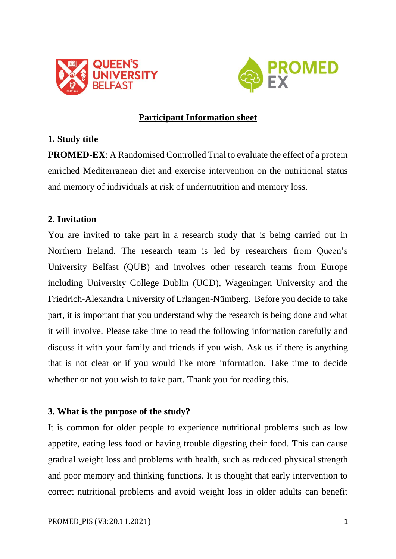



# **Participant Information sheet**

## **1. Study title**

**PROMED-EX**: A Randomised Controlled Trial to evaluate the effect of a protein enriched Mediterranean diet and exercise intervention on the nutritional status and memory of individuals at risk of undernutrition and memory loss.

## **2. Invitation**

You are invited to take part in a research study that is being carried out in Northern Ireland. The research team is led by researchers from Queen's University Belfast (QUB) and involves other research teams from Europe including University College Dublin (UCD), Wageningen University and the Friedrich-Alexandra University of Erlangen-Nümberg. Before you decide to take part, it is important that you understand why the research is being done and what it will involve. Please take time to read the following information carefully and discuss it with your family and friends if you wish. Ask us if there is anything that is not clear or if you would like more information. Take time to decide whether or not you wish to take part. Thank you for reading this.

## **3. What is the purpose of the study?**

It is common for older people to experience nutritional problems such as low appetite, eating less food or having trouble digesting their food. This can cause gradual weight loss and problems with health, such as reduced physical strength and poor memory and thinking functions. It is thought that early intervention to correct nutritional problems and avoid weight loss in older adults can benefit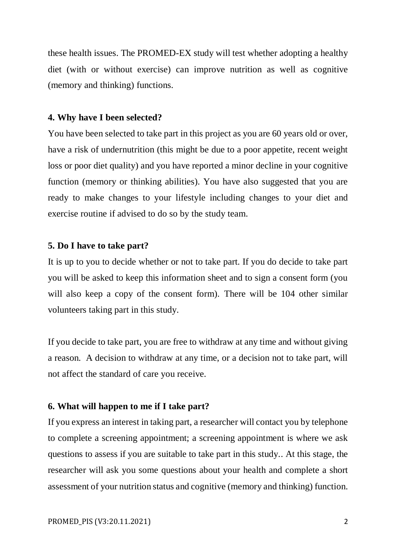these health issues. The PROMED-EX study will test whether adopting a healthy diet (with or without exercise) can improve nutrition as well as cognitive (memory and thinking) functions.

#### **4. Why have I been selected?**

You have been selected to take part in this project as you are 60 years old or over, have a risk of undernutrition (this might be due to a poor appetite, recent weight loss or poor diet quality) and you have reported a minor decline in your cognitive function (memory or thinking abilities). You have also suggested that you are ready to make changes to your lifestyle including changes to your diet and exercise routine if advised to do so by the study team.

### **5. Do I have to take part?**

It is up to you to decide whether or not to take part. If you do decide to take part you will be asked to keep this information sheet and to sign a consent form (you will also keep a copy of the consent form). There will be 104 other similar volunteers taking part in this study.

If you decide to take part, you are free to withdraw at any time and without giving a reason. A decision to withdraw at any time, or a decision not to take part, will not affect the standard of care you receive.

## **6. What will happen to me if I take part?**

If you express an interest in taking part, a researcher will contact you by telephone to complete a screening appointment; a screening appointment is where we ask questions to assess if you are suitable to take part in this study.. At this stage, the researcher will ask you some questions about your health and complete a short assessment of your nutrition status and cognitive (memory and thinking) function.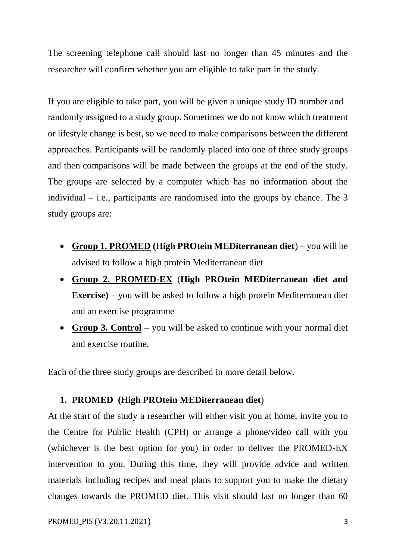The screening telephone call should last no longer than 45 minutes and the researcher will confirm whether you are eligible to take part in the study.

If you are eligible to take part, you will be given a unique study ID number and randomly assigned to a study group. Sometimes we do not know which treatment or lifestyle change is best, so we need to make comparisons between the different approaches. Participants will be randomly placed into one of three study groups and then comparisons will be made between the groups at the end of the study. The groups are selected by a computer which has no information about the individual  $-$  i.e., participants are randomised into the groups by chance. The 3 study groups are:

- **Group 1. PROMED (High PROtein MEDiterranean diet**) you will be advised to follow a high protein Mediterranean diet
- **Group 2. PROMED-EX** (**High PROtein MEDiterranean diet and Exercise)** – you will be asked to follow a high protein Mediterranean diet and an exercise programme
- **Group 3. Control** you will be asked to continue with your normal diet and exercise routine.

Each of the three study groups are described in more detail below.

### **1. PROMED (High PROtein MEDiterranean diet**)

At the start of the study a researcher will either visit you at home, invite you to the Centre for Public Health (CPH) or arrange a phone/video call with you (whichever is the best option for you) in order to deliver the PROMED-EX intervention to you. During this time, they will provide advice and written materials including recipes and meal plans to support you to make the dietary changes towards the PROMED diet. This visit should last no longer than 60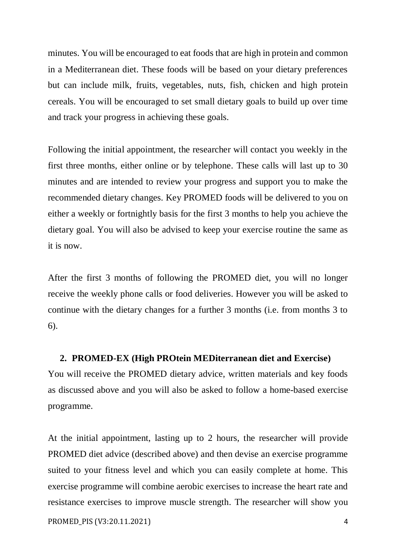minutes. You will be encouraged to eat foods that are high in protein and common in a Mediterranean diet. These foods will be based on your dietary preferences but can include milk, fruits, vegetables, nuts, fish, chicken and high protein cereals. You will be encouraged to set small dietary goals to build up over time and track your progress in achieving these goals.

Following the initial appointment, the researcher will contact you weekly in the first three months, either online or by telephone. These calls will last up to 30 minutes and are intended to review your progress and support you to make the recommended dietary changes. Key PROMED foods will be delivered to you on either a weekly or fortnightly basis for the first 3 months to help you achieve the dietary goal. You will also be advised to keep your exercise routine the same as it is now.

After the first 3 months of following the PROMED diet, you will no longer receive the weekly phone calls or food deliveries. However you will be asked to continue with the dietary changes for a further 3 months (i.e. from months 3 to 6).

## **2. PROMED-EX (High PROtein MEDiterranean diet and Exercise)**

You will receive the PROMED dietary advice, written materials and key foods as discussed above and you will also be asked to follow a home-based exercise programme.

At the initial appointment, lasting up to 2 hours, the researcher will provide PROMED diet advice (described above) and then devise an exercise programme suited to your fitness level and which you can easily complete at home. This exercise programme will combine aerobic exercises to increase the heart rate and resistance exercises to improve muscle strength. The researcher will show you

PROMED PIS (V3:20.11.2021) 4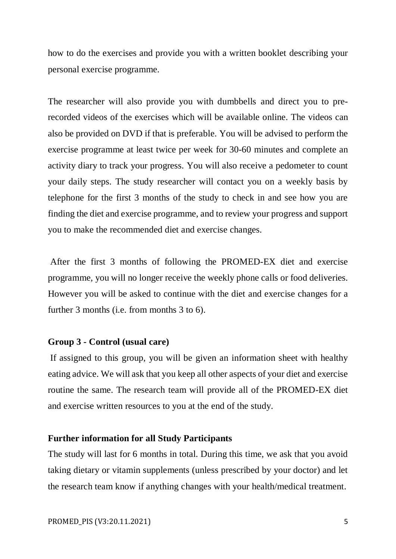how to do the exercises and provide you with a written booklet describing your personal exercise programme.

The researcher will also provide you with dumbbells and direct you to prerecorded videos of the exercises which will be available online. The videos can also be provided on DVD if that is preferable. You will be advised to perform the exercise programme at least twice per week for 30-60 minutes and complete an activity diary to track your progress. You will also receive a pedometer to count your daily steps. The study researcher will contact you on a weekly basis by telephone for the first 3 months of the study to check in and see how you are finding the diet and exercise programme, and to review your progress and support you to make the recommended diet and exercise changes.

After the first 3 months of following the PROMED-EX diet and exercise programme, you will no longer receive the weekly phone calls or food deliveries. However you will be asked to continue with the diet and exercise changes for a further 3 months (i.e. from months 3 to 6).

#### **Group 3 - Control (usual care)**

If assigned to this group, you will be given an information sheet with healthy eating advice. We will ask that you keep all other aspects of your diet and exercise routine the same. The research team will provide all of the PROMED-EX diet and exercise written resources to you at the end of the study.

#### **Further information for all Study Participants**

The study will last for 6 months in total. During this time, we ask that you avoid taking dietary or vitamin supplements (unless prescribed by your doctor) and let the research team know if anything changes with your health/medical treatment.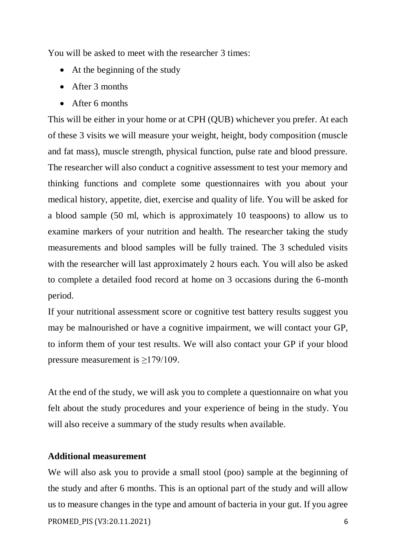You will be asked to meet with the researcher 3 times:

- At the beginning of the study
- After 3 months
- After 6 months

This will be either in your home or at CPH (QUB) whichever you prefer. At each of these 3 visits we will measure your weight, height, body composition (muscle and fat mass), muscle strength, physical function, pulse rate and blood pressure. The researcher will also conduct a cognitive assessment to test your memory and thinking functions and complete some questionnaires with you about your medical history, appetite, diet, exercise and quality of life. You will be asked for a blood sample (50 ml, which is approximately 10 teaspoons) to allow us to examine markers of your nutrition and health. The researcher taking the study measurements and blood samples will be fully trained. The 3 scheduled visits with the researcher will last approximately 2 hours each. You will also be asked to complete a detailed food record at home on 3 occasions during the 6-month period.

If your nutritional assessment score or cognitive test battery results suggest you may be malnourished or have a cognitive impairment, we will contact your GP, to inform them of your test results. We will also contact your GP if your blood pressure measurement is  $\geq$ 179/109.

At the end of the study, we will ask you to complete a questionnaire on what you felt about the study procedures and your experience of being in the study. You will also receive a summary of the study results when available.

## **Additional measurement**

PROMED PIS (V3:20.11.2021) 6 We will also ask you to provide a small stool (poo) sample at the beginning of the study and after 6 months. This is an optional part of the study and will allow us to measure changes in the type and amount of bacteria in your gut. If you agree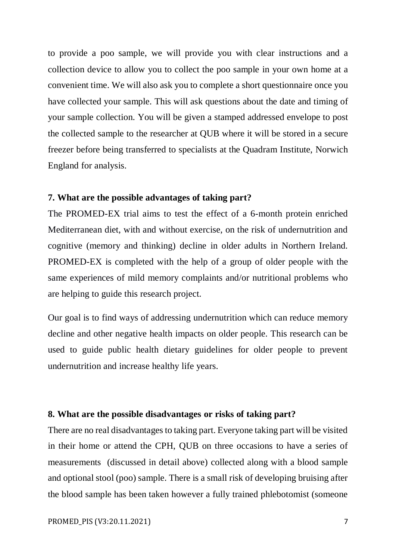to provide a poo sample, we will provide you with clear instructions and a collection device to allow you to collect the poo sample in your own home at a convenient time. We will also ask you to complete a short questionnaire once you have collected your sample. This will ask questions about the date and timing of your sample collection. You will be given a stamped addressed envelope to post the collected sample to the researcher at QUB where it will be stored in a secure freezer before being transferred to specialists at the Quadram Institute, Norwich England for analysis.

#### **7. What are the possible advantages of taking part?**

The PROMED-EX trial aims to test the effect of a 6-month protein enriched Mediterranean diet, with and without exercise, on the risk of undernutrition and cognitive (memory and thinking) decline in older adults in Northern Ireland. PROMED-EX is completed with the help of a group of older people with the same experiences of mild memory complaints and/or nutritional problems who are helping to guide this research project.

Our goal is to find ways of addressing undernutrition which can reduce memory decline and other negative health impacts on older people. This research can be used to guide public health dietary guidelines for older people to prevent undernutrition and increase healthy life years.

### **8. What are the possible disadvantages or risks of taking part?**

There are no real disadvantages to taking part. Everyone taking part will be visited in their home or attend the CPH, QUB on three occasions to have a series of measurements (discussed in detail above) collected along with a blood sample and optional stool (poo) sample. There is a small risk of developing bruising after the blood sample has been taken however a fully trained phlebotomist (someone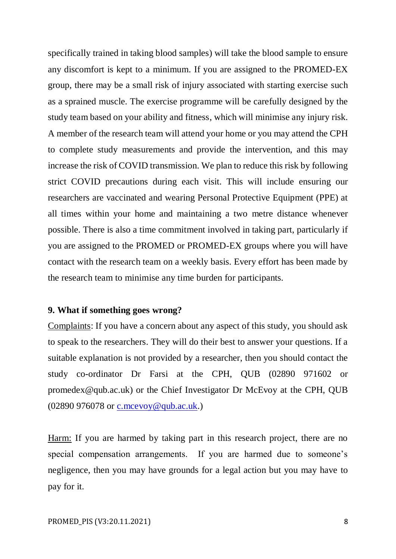specifically trained in taking blood samples) will take the blood sample to ensure any discomfort is kept to a minimum. If you are assigned to the PROMED-EX group, there may be a small risk of injury associated with starting exercise such as a sprained muscle. The exercise programme will be carefully designed by the study team based on your ability and fitness, which will minimise any injury risk. A member of the research team will attend your home or you may attend the CPH to complete study measurements and provide the intervention, and this may increase the risk of COVID transmission. We plan to reduce this risk by following strict COVID precautions during each visit. This will include ensuring our researchers are vaccinated and wearing Personal Protective Equipment (PPE) at all times within your home and maintaining a two metre distance whenever possible. There is also a time commitment involved in taking part, particularly if you are assigned to the PROMED or PROMED-EX groups where you will have contact with the research team on a weekly basis. Every effort has been made by the research team to minimise any time burden for participants.

## **9. What if something goes wrong?**

Complaints: If you have a concern about any aspect of this study, you should ask to speak to the researchers. They will do their best to answer your questions. If a suitable explanation is not provided by a researcher, then you should contact the study co-ordinator Dr Farsi at the CPH, QUB (02890 971602 or promedex@qub.ac.uk) or the Chief Investigator Dr McEvoy at the CPH, QUB (02890 976078 or [c.mcevoy@qub.ac.uk.](mailto:c.mcevoy@qub.ac.uk))

Harm: If you are harmed by taking part in this research project, there are no special compensation arrangements. If you are harmed due to someone's negligence, then you may have grounds for a legal action but you may have to pay for it.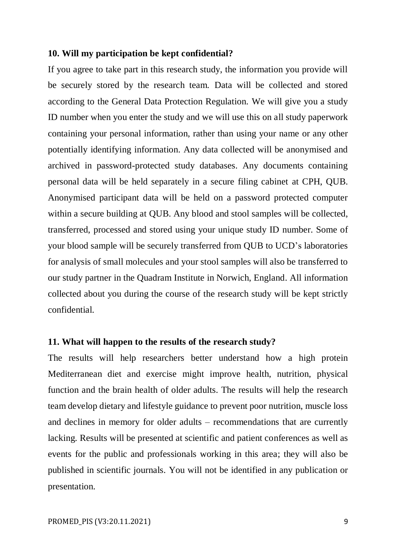#### **10. Will my participation be kept confidential?**

If you agree to take part in this research study, the information you provide will be securely stored by the research team. Data will be collected and stored according to the General Data Protection Regulation. We will give you a study ID number when you enter the study and we will use this on all study paperwork containing your personal information, rather than using your name or any other potentially identifying information. Any data collected will be anonymised and archived in password-protected study databases. Any documents containing personal data will be held separately in a secure filing cabinet at CPH, QUB. Anonymised participant data will be held on a password protected computer within a secure building at QUB. Any blood and stool samples will be collected, transferred, processed and stored using your unique study ID number. Some of your blood sample will be securely transferred from QUB to UCD's laboratories for analysis of small molecules and your stool samples will also be transferred to our study partner in the Quadram Institute in Norwich, England. All information collected about you during the course of the research study will be kept strictly confidential.

## **11. What will happen to the results of the research study?**

The results will help researchers better understand how a high protein Mediterranean diet and exercise might improve health, nutrition, physical function and the brain health of older adults. The results will help the research team develop dietary and lifestyle guidance to prevent poor nutrition, muscle loss and declines in memory for older adults – recommendations that are currently lacking. Results will be presented at scientific and patient conferences as well as events for the public and professionals working in this area; they will also be published in scientific journals. You will not be identified in any publication or presentation.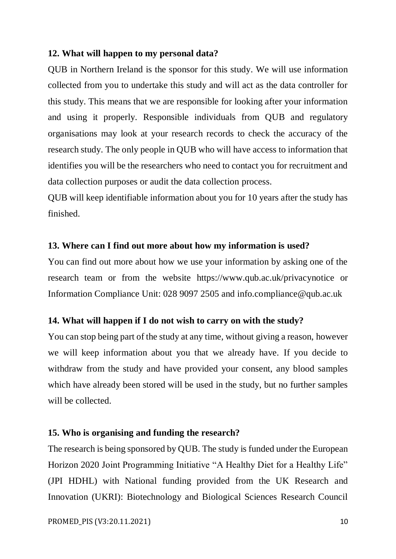## **12. What will happen to my personal data?**

QUB in Northern Ireland is the sponsor for this study. We will use information collected from you to undertake this study and will act as the data controller for this study. This means that we are responsible for looking after your information and using it properly. Responsible individuals from QUB and regulatory organisations may look at your research records to check the accuracy of the research study. The only people in QUB who will have access to information that identifies you will be the researchers who need to contact you for recruitment and data collection purposes or audit the data collection process.

QUB will keep identifiable information about you for 10 years after the study has finished.

#### **13. Where can I find out more about how my information is used?**

You can find out more about how we use your information by asking one of the research team or from the website <https://www.qub.ac.uk/privacynotice> or Information Compliance Unit: 028 9097 2505 and info.compliance@qub.ac.uk

#### **14. What will happen if I do not wish to carry on with the study?**

You can stop being part of the study at any time, without giving a reason, however we will keep information about you that we already have. If you decide to withdraw from the study and have provided your consent, any blood samples which have already been stored will be used in the study, but no further samples will be collected.

#### **15. Who is organising and funding the research?**

The research is being sponsored by QUB. The study is funded under the European Horizon 2020 Joint Programming Initiative "A Healthy Diet for a Healthy Life" (JPI HDHL) with National funding provided from the UK Research and Innovation (UKRI): Biotechnology and Biological Sciences Research Council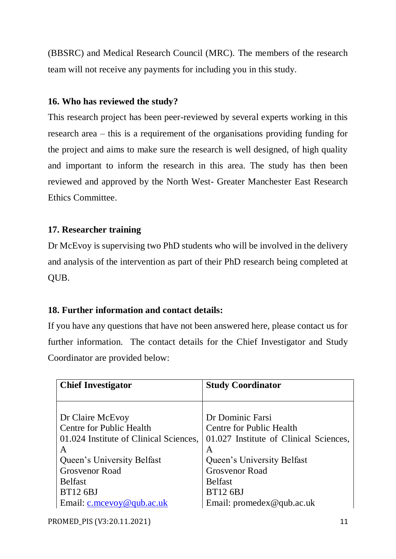(BBSRC) and Medical Research Council (MRC). The members of the research team will not receive any payments for including you in this study.

## **16. Who has reviewed the study?**

This research project has been peer-reviewed by several experts working in this research area – this is a requirement of the organisations providing funding for the project and aims to make sure the research is well designed, of high quality and important to inform the research in this area. The study has then been reviewed and approved by the North West- Greater Manchester East Research Ethics Committee.

# **17. Researcher training**

Dr McEvoy is supervising two PhD students who will be involved in the delivery and analysis of the intervention as part of their PhD research being completed at QUB.

# **18. Further information and contact details:**

If you have any questions that have not been answered here, please contact us for further information. The contact details for the Chief Investigator and Study Coordinator are provided below:

| <b>Chief Investigator</b>              | <b>Study Coordinator</b>               |
|----------------------------------------|----------------------------------------|
|                                        |                                        |
|                                        |                                        |
| Dr Claire McEvoy                       | Dr Dominic Farsi                       |
| Centre for Public Health               | Centre for Public Health               |
| 01.024 Institute of Clinical Sciences, | 01.027 Institute of Clinical Sciences, |
| A                                      | A                                      |
| Queen's University Belfast             | Queen's University Belfast             |
| <b>Grosvenor Road</b>                  | <b>Grosvenor Road</b>                  |
| <b>Belfast</b>                         | <b>Belfast</b>                         |
| <b>BT12 6BJ</b>                        | <b>BT12 6BJ</b>                        |
| Email: $c$ .mcevoy@qub.ac.uk           | Email: promedex@qub.ac.uk              |